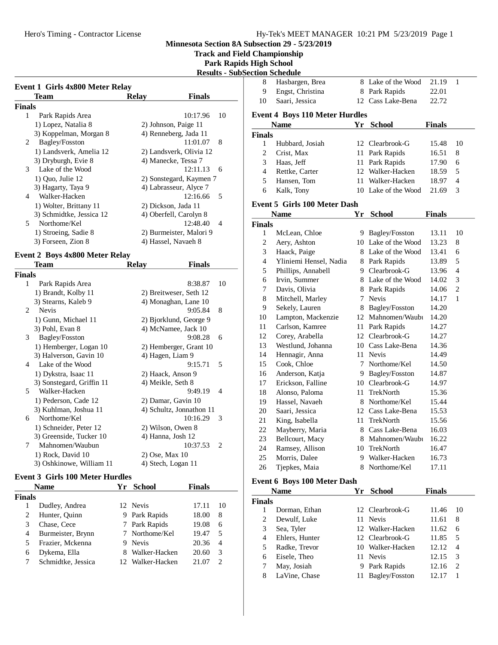**Track and Field Championship**

### **Park Rapids High School Results - SubSection**

|               | Event 1 Girls 4x800 Meter Relay<br>Team | <b>Relay</b>      | <b>Finals</b>            |
|---------------|-----------------------------------------|-------------------|--------------------------|
| Finals        |                                         |                   |                          |
| 1             | Park Rapids Area                        |                   | 10:17.96<br>10           |
|               | 1) Lopez, Natalia 8                     |                   | 2) Johnson, Paige 11     |
|               | 3) Koppelman, Morgan 8                  |                   | 4) Renneberg, Jada 11    |
| 2             | Bagley/Fosston                          |                   | 11:01.07<br>8            |
|               | 1) Landsverk, Amelia 12                 |                   | 2) Landsverk, Olivia 12  |
|               | 3) Dryburgh, Evie 8                     |                   | 4) Manecke, Tessa 7      |
| 3             | Lake of the Wood                        |                   | 12:11.13<br>6            |
|               | 1) Quo, Julie 12                        |                   | 2) Sonstegard, Kaymen 7  |
|               | 3) Hagarty, Taya 9                      |                   | 4) Labrasseur, Alyce 7   |
| 4             | Walker-Hacken                           |                   | 12:16.66<br>5            |
|               | 1) Wolter, Brittany 11                  |                   | 2) Dickson, Jada 11      |
|               | 3) Schmidtke, Jessica 12                |                   | 4) Oberfell, Carolyn 8   |
| 5             | Northome/Kel                            |                   | 12:48.40<br>4            |
|               | 1) Stroeing, Sadie 8                    |                   | 2) Burmeister, Malori 9  |
|               | 3) Forseen, Zion 8                      |                   | 4) Hassel, Navaeh 8      |
|               |                                         |                   |                          |
|               | <b>Event 2 Boys 4x800 Meter Relay</b>   |                   |                          |
|               | Team                                    | <b>Relay</b>      | <b>Finals</b>            |
| <b>Finals</b> |                                         |                   |                          |
| 1             | Park Rapids Area                        |                   | 10<br>8:38.87            |
|               | 1) Brandt, Kolby 11                     |                   | 2) Breitweser, Seth 12   |
|               | 3) Stearns, Kaleb 9                     |                   | 4) Monaghan, Lane 10     |
| 2             | <b>Nevis</b>                            |                   | 9:05.84<br>8             |
|               | 1) Gunn, Michael 11                     |                   | 2) Bjorklund, George 9   |
|               | 3) Pohl, Evan 8                         |                   | 4) McNamee, Jack 10      |
| 3             | Bagley/Fosston                          |                   | 9:08.28<br>6             |
|               | 1) Hemberger, Logan 10                  |                   | 2) Hemberger, Grant 10   |
|               | 3) Halverson, Gavin 10                  | 4) Hagen, Liam 9  |                          |
| 4             | Lake of the Wood                        |                   | 9:15.71<br>5             |
|               | 1) Dykstra, Isaac 11                    |                   | 2) Haack, Anson 9        |
|               | 3) Sonstegard, Griffin 11               | 4) Meikle, Seth 8 |                          |
| 5             | Walker-Hacken                           |                   | 9:49.19<br>4             |
|               | 1) Pederson, Cade 12                    |                   | 2) Damar, Gavin 10       |
|               | 3) Kuhlman, Joshua 11                   |                   | 4) Schultz, Jonnathon 11 |
| 6             | Northome/Kel                            |                   | 10:16.29<br>3            |
|               | 1) Schneider, Peter 12                  |                   | 2) Wilson, Owen 8        |
|               | 3) Greenside, Tucker 10                 | 4) Hanna, Josh 12 |                          |
| 7             | Mahnomen/Waubun                         |                   | 10:37.53<br>2            |
|               | 1) Rock, David 10                       | 2) Ose, Max 10    |                          |
|               | 3) Oshkinowe, William 11                |                   | 4) Stech, Logan 11       |

#### **Event 3 Girls 100 Meter Hurdles**

| <b>Name</b>        |   | School        | <b>Finals</b>                                                                                    |                |
|--------------------|---|---------------|--------------------------------------------------------------------------------------------------|----------------|
| <b>Finals</b>      |   |               |                                                                                                  |                |
| Dudley, Andrea     |   |               | 17.11                                                                                            | 10             |
| Hunter, Quinn      |   |               | 18.00                                                                                            | 8              |
| Chase, Cece        |   |               | 19.08                                                                                            | 6              |
| Burmeister, Brynn  |   |               | 19.47                                                                                            | 5              |
| Frazier, Mckenna   | 9 |               | 20.36                                                                                            | $\overline{4}$ |
| Dykema, Ella       | 8 | Walker-Hacken | 20.60                                                                                            | 3              |
| Schmidtke, Jessica |   |               | 21.07                                                                                            | $\mathcal{D}$  |
|                    |   | Yг            | 12 Nevis<br>9 Park Rapids<br>7 Park Rapids<br>7 Northome/Kel<br><b>Nevis</b><br>12 Walker-Hacken |                |

|                    | ection Schedule                       |        |                     |               |                |
|--------------------|---------------------------------------|--------|---------------------|---------------|----------------|
| 8                  | Hasbargen, Brea                       |        | 8 Lake of the Wood  | 21.19         | 1              |
| 9                  | Engst, Christina                      |        | 8 Park Rapids       | 22.01         |                |
| 10                 | Saari, Jessica                        |        | 12 Cass Lake-Bena   | 22.72         |                |
|                    |                                       |        |                     |               |                |
|                    | <b>Event 4 Boys 110 Meter Hurdles</b> |        | Yr School           | <b>Finals</b> |                |
|                    | <b>Name</b>                           |        |                     |               |                |
| <b>Finals</b><br>1 | Hubbard, Josiah                       | 12     | Clearbrook-G        | 15.48         | 10             |
| $\mathfrak{2}$     | Crist, Max                            | 11     | Park Rapids         | 16.51         | 8              |
| 3                  | Haas, Jeff                            | 11     | Park Rapids         | 17.90         | 6              |
| $\overline{4}$     | Rettke, Carter                        |        | 12 Walker-Hacken    | 18.59         | 5              |
| 5                  | Hansen, Tom                           | 11.    | Walker-Hacken       | 18.97         | $\overline{4}$ |
| 6                  | Kalk, Tony                            |        | 10 Lake of the Wood | 21.69         | 3              |
|                    |                                       |        |                     |               |                |
|                    | <b>Event 5 Girls 100 Meter Dash</b>   |        |                     |               |                |
|                    | <b>Name</b>                           | Yr     | <b>School</b>       | <b>Finals</b> |                |
| <b>Finals</b>      |                                       |        |                     |               |                |
| 1                  | McLean, Chloe                         | 9.     | Bagley/Fosston      | 13.11         | 10             |
| $\mathfrak{2}$     | Aery, Ashton                          |        | 10 Lake of the Wood | 13.23         | 8              |
| 3                  | Haack, Paige                          |        | 8 Lake of the Wood  | 13.41         | 6              |
| 4                  | Yliniemi Hensel, Nadia                |        | 8 Park Rapids       | 13.89         | 5              |
| 5                  | Phillips, Annabell                    |        | 9 Clearbrook-G      | 13.96         | 4              |
| 6                  | Irvin, Summer                         |        | 8 Lake of the Wood  | 14.02         | 3              |
| 7                  | Davis, Olivia                         |        | 8 Park Rapids       | 14.06         | $\mathbf{2}$   |
| 8                  | Mitchell, Marley                      | $\tau$ | <b>Nevis</b>        | 14.17         | 1              |
| 9                  | Sekely, Lauren                        |        | 8 Bagley/Fosston    | 14.20         |                |
| 10                 | Lampton, Mackenzie                    |        | 12 Mahnomen/Waubi   | 14.20         |                |
| 11                 | Carlson, Kamree                       | 11     | Park Rapids         | 14.27         |                |
| 12                 | Corey, Arabella                       |        | 12 Clearbrook-G     | 14.27         |                |
| 13                 | Westlund, Johanna                     |        | 10 Cass Lake-Bena   | 14.36         |                |
| 14                 | Hennagir, Anna                        | 11     | <b>Nevis</b>        | 14.49         |                |
| 15                 | Cook, Chloe                           | $\tau$ | Northome/Kel        | 14.50         |                |
| 16                 | Anderson, Katja                       | 9.     | Bagley/Fosston      | 14.87         |                |
| 17                 | Erickson, Falline                     |        | 10 Clearbrook-G     | 14.97         |                |
| 18                 | Alonso, Paloma                        | 11     | TrekNorth           | 15.36         |                |
| 19                 | Hassel, Navaeh                        | 8      | Northome/Kel        | 15.44         |                |
| 20                 | Saari, Jessica                        |        | 12 Cass Lake-Bena   | 15.53         |                |
| 21                 | King, Isabella                        | 11     | TrekNorth           | 15.56         |                |
| 22                 | Mayberry, Maria                       | 8      | Cass Lake-Bena      | 16.03         |                |
| 23                 | Bellcourt, Macy                       | 8      | Mahnomen/Waubi      | 16.22         |                |
| 24                 | Ramsey, Allison                       | 10     | TrekNorth           | 16.47         |                |
| 25                 | Morris, Dalee                         | 9.     | Walker-Hacken       | 16.73         |                |
| 26                 | Tjepkes, Maia                         | 8      | Northome/Kel        | 17.11         |                |
|                    |                                       |        |                     |               |                |
|                    | <b>Event 6 Boys 100 Meter Dash</b>    |        |                     |               |                |
|                    | Name                                  | Yr     | <b>School</b>       | <b>Finals</b> |                |
| <b>Finals</b>      |                                       |        |                     |               |                |

| inals |                |                   |       |                |
|-------|----------------|-------------------|-------|----------------|
|       | Dorman, Ethan  | 12 Clearbrook-G   | 11.46 | -10            |
| 2     | Dewulf, Luke   | 11 Nevis          | 11.61 | 8              |
| 3     | Sea, Tyler     | 12 Walker-Hacken  | 11.62 | 6              |
| 4     | Ehlers, Hunter | 12 Clearbrook-G   | 11.85 | 5              |
| 5     | Radke, Trevor  | 10 Walker-Hacken  | 12.12 | $\overline{4}$ |
| 6     | Eisele, Theo   | 11 Nevis          | 12.15 | 3              |
|       | May, Josiah    | 9 Park Rapids     | 12.16 | 2              |
| 8     | LaVine, Chase  | 11 Bagley/Fosston | 12.17 |                |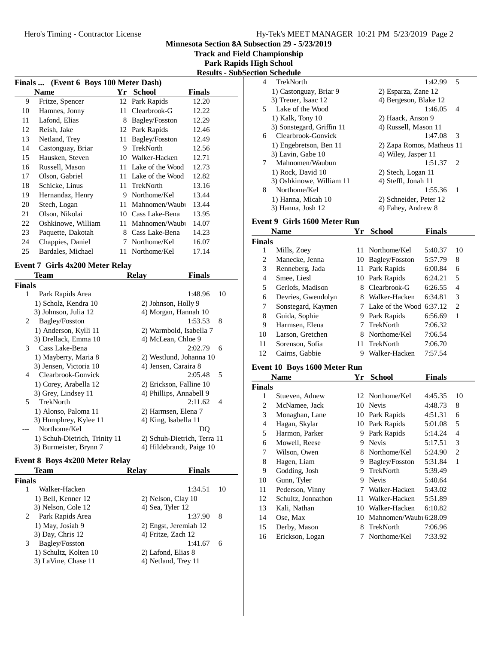**Track and Field Championship**

**Park Rapids High School**

|  | <b>Results - SubSection Schedule</b> |  |
|--|--------------------------------------|--|
|--|--------------------------------------|--|

| Finals  (Event 6 Boys 100 Meter Dash) |                    |    |                  |               |
|---------------------------------------|--------------------|----|------------------|---------------|
|                                       | <b>Name</b>        | Yr | <b>School</b>    | <b>Finals</b> |
| 9                                     | Fritze, Spencer    |    | 12 Park Rapids   | 12.20         |
| 10                                    | Hamnes, Jonny      | 11 | Clearbrook-G     | 12.22         |
| 11                                    | Lafond, Elias      | 8  | Bagley/Fosston   | 12.29         |
| 12                                    | Reish, Jake        | 12 | Park Rapids      | 12.46         |
| 13                                    | Netland, Trey      | 11 | Bagley/Fosston   | 12.49         |
| 14                                    | Castonguay, Briar  | 9  | <b>TrekNorth</b> | 12.56         |
| 15                                    | Hausken, Steven    | 10 | Walker-Hacken    | 12.71         |
| 16                                    | Russell, Mason     | 11 | Lake of the Wood | 12.73         |
| 17                                    | Olson, Gabriel     | 11 | Lake of the Wood | 12.82         |
| 18                                    | Schicke, Linus     | 11 | <b>TrekNorth</b> | 13.16         |
| 19                                    | Hernandaz, Henry   | 9  | Northome/Kel     | 13.44         |
| 20                                    | Stech, Logan       | 11 | Mahnomen/Waubi   | 13.44         |
| 21                                    | Olson, Nikolai     | 10 | Cass Lake-Bena   | 13.95         |
| 22                                    | Oshkinowe, William | 11 | Mahnomen/Waubi   | 14.07         |
| 23                                    | Paquette, Dakotah  | 8  | Cass Lake-Bena   | 14.23         |
| 24                                    | Chappies, Daniel   | 7  | Northome/Kel     | 16.07         |
| 25                                    | Bardales, Michael  | 11 | Northome/Kel     | 17.14         |
|                                       |                    |    |                  |               |

# **Event 7 Girls 4x200 Meter Relay<br>Team R**

|        | Team                          | <b>Relay</b>         | Finals                              |  |
|--------|-------------------------------|----------------------|-------------------------------------|--|
| Finals |                               |                      |                                     |  |
| 1      | Park Rapids Area              |                      | 10<br>1:48.96                       |  |
|        | 1) Scholz, Kendra 10          | 2) Johnson, Holly 9  |                                     |  |
|        | 3) Johnson, Julia 12          |                      | 4) Morgan, Hannah 10                |  |
| 2      | Bagley/Fosston                |                      | 1:53.53<br>8                        |  |
|        | 1) Anderson, Kylli 11         |                      | 2) Warmbold, Isabella 7             |  |
|        | 3) Drellack, Emma 10          | 4) McLean, Chloe 9   |                                     |  |
| 3      | Cass Lake-Bena                |                      | 2:02.79<br>6                        |  |
|        | 1) Mayberry, Maria 8          |                      | 2) Westlund, Johanna 10             |  |
|        | 3) Jensen, Victoria 10        | 4) Jensen, Caraira 8 |                                     |  |
| 4      | Clearbrook-Gonvick            |                      | 2:05.48<br>$\overline{\phantom{1}}$ |  |
|        | 1) Corey, Arabella 12         |                      | 2) Erickson, Falline 10             |  |
|        | 3) Grey, Lindsey 11           |                      | 4) Phillips, Annabell 9             |  |
| 5      | <b>TrekNorth</b>              |                      | 2:11.62<br>$\overline{4}$           |  |
|        | 1) Alonso, Paloma 11          | 2) Harmsen, Elena 7  |                                     |  |
|        | 3) Humphrey, Kylee 11         | 4) King, Isabella 11 |                                     |  |
|        | Northome/Kel                  |                      | DO                                  |  |
|        | 1) Schuh-Dietrich, Trinity 11 |                      | 2) Schuh-Dietrich, Terra 11         |  |
|        | 3) Burmeister, Brynn 7        |                      | 4) Hildebrandt, Paige 10            |  |

#### **Event 8 Boys 4x200 Meter Relay**

|        | Team                  | Relav               | <b>Finals</b>         |    |
|--------|-----------------------|---------------------|-----------------------|----|
| Finals |                       |                     |                       |    |
|        | Walker-Hacken         |                     | 1:34.51               | 10 |
|        | 1) Bell, Kenner 12    | 2) Nelson, Clay 10  |                       |    |
|        | 3) Nelson, Cole 12    | 4) Sea, Tyler 12    |                       |    |
| 2      | Park Rapids Area      |                     | 1:37.90               | 8  |
|        | 1) May, Josiah 9      |                     | 2) Engst, Jeremiah 12 |    |
|        | 3) Day, Chris 12      | 4) Fritze, Zach 12  |                       |    |
| 3      | Bagley/Fosston        |                     | 1:41.67               | 6  |
|        | 1) Schultz, Kolten 10 | 2) Lafond, Elias 8  |                       |    |
|        | 3) LaVine, Chase 11   | 4) Netland, Trey 11 |                       |    |
|        |                       |                     |                       |    |

|    | лчи эспечиге              |                                        |
|----|---------------------------|----------------------------------------|
| 4  | TrekNorth                 | 5<br>1:42.99                           |
|    | 1) Castonguay, Briar 9    | 2) Esparza, Zane 12                    |
|    | 3) Treuer, Isaac 12       | 4) Bergeson, Blake 12                  |
| 5. | Lake of the Wood          | 1:46.05<br>4                           |
|    | $1)$ Kalk, Tony $10$      | 2) Haack, Anson 9                      |
|    | 3) Sonstegard, Griffin 11 | 4) Russell, Mason 11                   |
| 6  | Clearbrook-Gonvick        | 1:47.08<br>3                           |
|    | 1) Engebretson, Ben 11    | 2) Zapa Romos, Matheus 11              |
|    | 3) Lavin, Gabe 10         | 4) Wiley, Jasper 11                    |
| 7  | Mahnomen/Waubun           | 1:51.37<br>$\mathcal{D}_{\mathcal{L}}$ |
|    | 1) Rock, David 10         | 2) Stech, Logan 11                     |
|    | 3) Oshkinowe, William 11  | 4) Steffl, Jonah 11                    |
| 8  | Northome/Kel              | 1:55.36<br>1                           |
|    | 1) Hanna, Micah 10        | 2) Schneider, Peter 12                 |
|    | 3) Hanna, Josh 12         | 4) Fahey, Andrew 8                     |
|    |                           |                                        |

### **Event 9 Girls 1600 Meter Run**

|               | <b>Name</b>        | Үr  | School                     | <b>Finals</b> |    |
|---------------|--------------------|-----|----------------------------|---------------|----|
| <b>Finals</b> |                    |     |                            |               |    |
| 1             | Mills, Zoey        |     | 11 Northome/Kel            | 5:40.37       | 10 |
| 2             | Manecke, Jenna     | 10  | Bagley/Fosston             | 5:57.79       | 8  |
| 3             | Renneberg, Jada    | 11  | Park Rapids                | 6:00.84       | 6  |
| 4             | Smee, Liesl        |     | 10 Park Rapids             | 6:24.21       | 5  |
| 5             | Gerlofs, Madison   | 8   | Clearbrook-G               | 6:26.55       | 4  |
| 6             | Devries, Gwendolyn | 8.  | Walker-Hacken              | 6:34.81       | 3  |
| 7             | Sonstegard, Kaymen |     | 7 Lake of the Wood 6:37.12 |               | 2  |
| 8             | Guida, Sophie      | 9   | Park Rapids                | 6:56.69       | 1  |
| 9             | Harmsen, Elena     |     | TrekNorth                  | 7:06.32       |    |
| 10            | Larson, Gretchen   | 8.  | Northome/Kel               | 7:06.54       |    |
| 11            | Sorenson, Sofia    | 11. | TrekNorth                  | 7:06.70       |    |
| 12            | Cairns. Gabbie     | Q   | Walker-Hacken              | 7:57.54       |    |

# **Event 10 Boys 1600 Meter Run**

|               | Name               | Үr | <b>School</b>          | Finals  |    |
|---------------|--------------------|----|------------------------|---------|----|
| <b>Finals</b> |                    |    |                        |         |    |
| 1             | Stueven, Adnew     |    | 12 Northome/Kel        | 4:45.35 | 10 |
| 2             | McNamee, Jack      | 10 | <b>Nevis</b>           | 4:48.73 | 8  |
| 3             | Monaghan, Lane     | 10 | Park Rapids            | 4:51.31 | 6  |
| 4             | Hagan, Skylar      | 10 | Park Rapids            | 5:01.08 | 5  |
| 5             | Harmon, Parker     | 9  | Park Rapids            | 5:14.24 | 4  |
| 6             | Mowell, Reese      | 9  | <b>Nevis</b>           | 5:17.51 | 3  |
| 7             | Wilson, Owen       | 8  | Northome/Kel           | 5:24.90 | 2  |
| 8             | Hagen, Liam        | 9  | Bagley/Fosston         | 5:31.84 | 1  |
| 9             | Godding, Josh      | 9  | TrekNorth              | 5:39.49 |    |
| 10            | Gunn, Tyler        | 9  | <b>Nevis</b>           | 5:40.64 |    |
| 11            | Pederson, Vinny    | 7  | Walker-Hacken          | 5:43.02 |    |
| 12            | Schultz, Jonnathon | 11 | Walker-Hacken          | 5:51.89 |    |
| 13            | Kali, Nathan       | 10 | Walker-Hacken          | 6:10.82 |    |
| 14            | Ose, Max           | 10 | Mahnomen/Waubi 6:28.09 |         |    |
| 15            | Derby, Mason       | 8  | TrekNorth              | 7:06.96 |    |
| 16            | Erickson, Logan    |    | Northome/Kel           | 7:33.92 |    |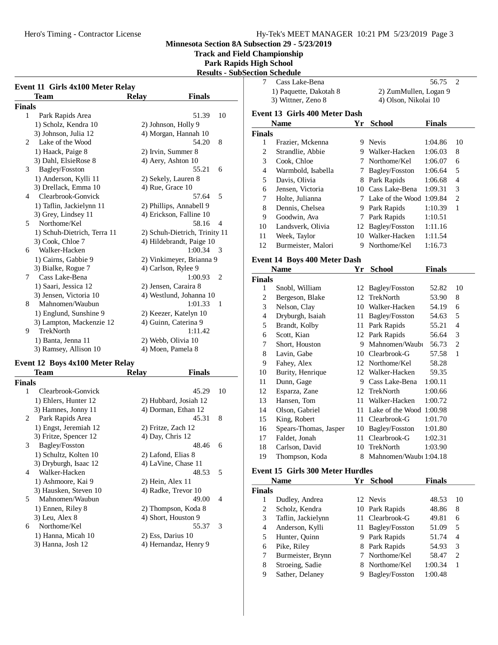**Track and Field Championship**

# **Park Rapids High School**

**Results - SubSection Schedule**

|               | Event 11 Girls 4x100 Meter Relay |                               |  |
|---------------|----------------------------------|-------------------------------|--|
|               | Team                             | <b>Finals</b><br><b>Relay</b> |  |
| <b>Finals</b> |                                  |                               |  |
| 1             | Park Rapids Area                 | 51.39<br>10                   |  |
|               | 1) Scholz, Kendra 10             | 2) Johnson, Holly 9           |  |
|               | 3) Johnson, Julia 12             | 4) Morgan, Hannah 10          |  |
| 2             | Lake of the Wood                 | 54.20<br>8                    |  |
|               | 1) Haack, Paige 8                | 2) Irvin, Summer 8            |  |
|               | 3) Dahl, ElsieRose 8             | 4) Aery, Ashton 10            |  |
| 3             | Bagley/Fosston                   | 55.21<br>6                    |  |
|               | 1) Anderson, Kylli 11            | 2) Sekely, Lauren 8           |  |
|               | 3) Drellack, Emma 10             | 4) Rue, Grace 10              |  |
| 4             | Clearbrook-Gonvick               | 5<br>57.64                    |  |
|               | 1) Taflin, Jackielynn 11         | 2) Phillips, Annabell 9       |  |
|               | 3) Grey, Lindsey 11              | 4) Erickson, Falline 10       |  |
| 5             | Northome/Kel                     | 58.16<br>4                    |  |
|               | 1) Schuh-Dietrich, Terra 11      | 2) Schuh-Dietrich, Trinity 11 |  |
|               | 3) Cook, Chloe 7                 | 4) Hildebrandt, Paige 10      |  |
| 6             | Walker-Hacken                    | 1:00.34<br>3                  |  |
|               | 1) Cairns, Gabbie 9              | 2) Vinkimeyer, Brianna 9      |  |
|               | 3) Bialke, Rogue 7               | 4) Carlson, Rylee 9           |  |
| 7             | Cass Lake-Bena                   | 1:00.93<br>2                  |  |
|               | 1) Saari, Jessica 12             | 2) Jensen, Caraira 8          |  |
|               | 3) Jensen, Victoria 10           | 4) Westlund, Johanna 10       |  |
| 8             | Mahnomen/Waubun                  | 1:01.33<br>1                  |  |
|               | 1) Englund, Sunshine 9           | 2) Keezer, Katelyn 10         |  |
|               | 3) Lampton, Mackenzie 12         | 4) Guinn, Caterina 9          |  |
| 9             | TrekNorth                        | 1:11.42                       |  |
|               | 1) Banta, Jenna 11               | 2) Webb, Olivia 10            |  |
|               | 3) Ramsey, Allison 10            | 4) Moen, Pamela 8             |  |
|               |                                  |                               |  |
|               | Event 12 Boys 4x100 Meter Relay  |                               |  |
|               | <b>Team</b>                      | <b>Relay</b><br><b>Finals</b> |  |
| <b>Finals</b> |                                  |                               |  |
| 1             | Clearbrook-Gonvick               | 45.29<br>10                   |  |
|               | 1) Ehlers, Hunter 12             | 2) Hubbard, Josiah 12         |  |
|               | 3) Hamnes, Jonny 11              | 4) Dorman, Ethan 12           |  |
| 2             | Park Rapids Area                 | 45.31<br>8                    |  |
|               | 1) Engst, Jeremiah 12            | 2) Fritze, Zach 12            |  |
|               | 3) Fritze, Spencer 12            | 4) Day, Chris 12              |  |
| 3             | Bagley/Fosston                   | 48.46<br>6                    |  |
|               | 1) Schultz, Kolten 10            | 2) Lafond, Elias 8            |  |
|               | 3) Dryburgh, Isaac 12            | 4) LaVine, Chase 11           |  |
| 4             | Walker-Hacken                    | 48.53<br>5                    |  |
|               | 1) Ashmoore, Kai 9               | 2) Hein, Alex 11              |  |
|               | 3) Hausken, Steven 10            | 4) Radke, Trevor 10           |  |
| 5             | Mahnomen/Waubun                  | 49.00<br>4                    |  |
|               | 1) Ennen, Riley 8                | 2) Thompson, Koda 8           |  |
|               | 3) Leu, Alex 8                   | 4) Short, Houston 9           |  |
| 6             | Northome/Kel                     | 55.37<br>3                    |  |
|               | 1) Hanna, Micah 10               | 2) Ess, Darius 10             |  |
|               | 3) Hanna, Josh 12                | 4) Hernandaz, Henry 9         |  |
|               |                                  |                               |  |

|                | лион эспечиге                           |      |                          |               |                |
|----------------|-----------------------------------------|------|--------------------------|---------------|----------------|
| 7              | Cass Lake-Bena                          |      |                          | 56.75         | $\overline{c}$ |
|                | 1) Paquette, Dakotah 8                  |      | 2) ZumMullen, Logan 9    |               |                |
|                | 3) Wittner, Zeno 8                      |      | 4) Olson, Nikolai 10     |               |                |
|                | <b>Event 13 Girls 400 Meter Dash</b>    |      |                          |               |                |
|                | <b>Name</b>                             | Yr   | <b>School</b>            | <b>Finals</b> |                |
| <b>Finals</b>  |                                         |      |                          |               |                |
| 1              | Frazier, Mckenna                        |      | 9 Nevis                  | 1:04.86       | 10             |
| $\mathfrak{2}$ | Strandlie, Abbie                        |      | 9 Walker-Hacken          | 1:06.03       | 8              |
| 3              | Cook, Chloe                             |      | 7 Northome/Kel           | 1:06.07       | 6              |
| $\overline{4}$ | Warmbold, Isabella                      | 7    | Bagley/Fosston           | 1:06.64       | 5              |
| 5              | Davis, Olivia                           |      | 8 Park Rapids            | 1:06.68       | 4              |
| 6              | Jensen, Victoria                        |      | 10 Cass Lake-Bena        | 1:09.31       | 3              |
| 7              | Holte, Julianna                         | 7    | Lake of the Wood 1:09.84 |               | $\overline{c}$ |
| 8              | Dennis, Chelsea                         |      | 9 Park Rapids            | 1:10.39       | 1              |
| 9              | Goodwin, Ava                            | 7    | Park Rapids              | 1:10.51       |                |
| 10             | Landsverk, Olivia                       | 12   | Bagley/Fosston           | 1:11.16       |                |
| 11             | Week, Taylor                            | 10   | Walker-Hacken            | 1:11.54       |                |
| 12             | Burmeister, Malori                      | 9    | Northome/Kel             | 1:16.73       |                |
|                |                                         |      |                          |               |                |
|                | Event 14 Boys 400 Meter Dash            |      |                          |               |                |
|                | Name                                    | Yr   | <b>School</b>            | <b>Finals</b> |                |
| <b>Finals</b>  |                                         |      |                          |               |                |
| 1              | Snobl, William                          |      | 12 Bagley/Fosston        | 52.82         | 10             |
| 2              | Bergeson, Blake                         | 12   | TrekNorth                | 53.90         | 8              |
| 3              | Nelson, Clay                            |      | 10 Walker-Hacken         | 54.19         | 6              |
| $\overline{4}$ | Dryburgh, Isaiah                        | 11   | Bagley/Fosston           | 54.63         | 5              |
| 5              | Brandt, Kolby                           | 11   | Park Rapids              | 55.21         | 4              |
| 6              | Scott, Kian                             | 12   | Park Rapids              | 56.64         | 3              |
| 7              | Short, Houston                          | 9.   | Mahnomen/Waubi           | 56.73         | 2              |
| 8              | Lavin, Gabe                             | 10   | Clearbrook-G             | 57.58         | 1              |
| 9              | Fahey, Alex                             | 12   | Northome/Kel             | 58.28         |                |
| 10             | Burity, Henrique                        |      | 12 Walker-Hacken         | 59.35         |                |
| 11             | Dunn, Gage                              |      | 9 Cass Lake-Bena         | 1:00.11       |                |
| 12             | Esparza, Zane                           |      | 12 TrekNorth             | 1:00.66       |                |
| 13             | Hansen, Tom                             | 11 - | Walker-Hacken            | 1:00.72       |                |
| 14             | Olson, Gabriel                          | 11 - | Lake of the Wood 1:00.98 |               |                |
| 15             | King, Robert                            | 11 - | Clearbrook-G             | 1:01.70       |                |
| 16             | Spears-Thomas, Jasper                   |      | 10 Bagley/Fosston        | 1:01.80       |                |
| 17             | Faldet, Jonah                           |      | 11 Clearbrook-G          | 1:02.31       |                |
| 18             | Carlson, David                          |      | 10 TrekNorth             | 1:03.90       |                |
| 19             | Thompson, Koda                          | 8    | Mahnomen/Waubi 1:04.18   |               |                |
|                |                                         |      |                          |               |                |
|                | <b>Event 15 Girls 300 Meter Hurdles</b> |      |                          |               |                |
|                | <b>Name</b>                             |      | Yr School                | <b>Finals</b> |                |
| <b>Finals</b>  |                                         |      |                          |               |                |
| 1              | Dudley, Andrea                          |      | 12 Nevis                 | 48.53         | 10             |
| $\overline{c}$ | Scholz, Kendra                          | 10   | Park Rapids              | 48.86         | 8              |
| 3              | Taflin, Jackielynn                      | 11   | Clearbrook-G             | 49.81         | 6              |
| $\overline{4}$ | Anderson, Kylli                         | 11   | Bagley/Fosston           | 51.09         | 5              |
| 5              | Hunter, Quinn                           | 9.   | Park Rapids              | 51.74         | 4              |

- 6 Pike, Riley 8 Park Rapids 54.93 3<br>7 Burmeister, Brynn 7 Northome/Kel 58.47 2 7 Burmeister, Brynn<br>8 Stroeing, Sadie 8 Stroeing, Sadie 8 Northome/Kel 1:00.34 1
- 9 Sather, Delaney 9 Bagley/Fosston 1:00.48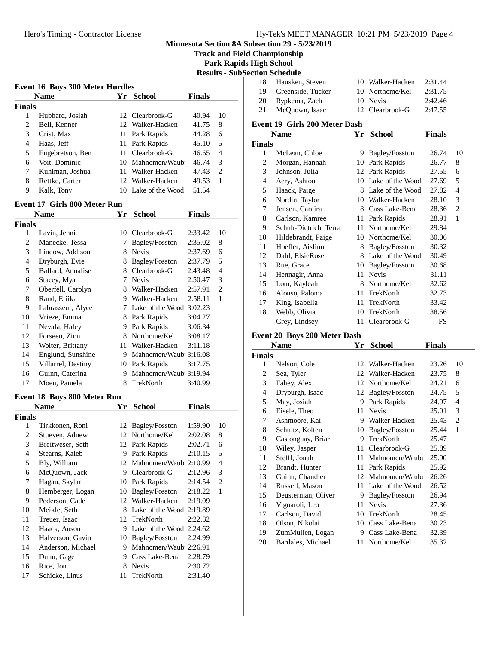# Hero's Timing - Contractor License Hy-Tek's MEET MANAGER 10:21 PM 5/23/2019 Page 4

**Minnesota Section 8A Subsection 29 - 5/23/2019**

**Track and Field Championship**

**Park Rapids High School**

|                               |                                        |    |                                    |                    |                                | <b>Results - SubSection Schedule</b> |                 |
|-------------------------------|----------------------------------------|----|------------------------------------|--------------------|--------------------------------|--------------------------------------|-----------------|
|                               | <b>Event 16 Boys 300 Meter Hurdles</b> |    |                                    |                    |                                | 18                                   | Hausker         |
|                               | <b>Name</b>                            |    | Yr School                          | <b>Finals</b>      |                                | 19                                   | Greensic        |
| <b>Finals</b>                 |                                        |    |                                    |                    |                                | 20                                   | Rypkem          |
| $\mathbf{1}$                  | Hubbard, Josiah                        |    | 12 Clearbrook-G                    | 40.94              | 10                             | 21                                   | McQuoy          |
| $\boldsymbol{2}$              | Bell, Kenner                           |    | 12 Walker-Hacken                   | 41.75              | 8                              |                                      | Event 19 Girl   |
| 3                             | Crist, Max                             |    | 11 Park Rapids                     | 44.28              | 6                              |                                      | <b>Name</b>     |
| $\overline{4}$                | Haas, Jeff                             |    | 11 Park Rapids                     | 45.10              | 5                              | <b>Finals</b>                        |                 |
| 5                             | Engebretson, Ben                       |    | 11 Clearbrook-G                    | 46.65              | 4                              | $\mathbf{1}$                         | McLean          |
| 6                             | Voit, Dominic                          |    | 10 Mahnomen/Waubi                  | 46.74              | 3                              | $\mathbf{2}$                         | Morgan,         |
| 7                             | Kuhlman, Joshua                        |    | 11 Walker-Hacken                   | 47.43              | $\overline{c}$                 | 3                                    | Johnson         |
| 8                             | Rettke, Carter                         |    | 12 Walker-Hacken                   | 49.53              | $\mathbf{1}$                   | $\overline{4}$                       | Aery, As        |
| 9                             | Kalk, Tony                             |    | 10 Lake of the Wood                | 51.54              |                                | 5                                    | Haack, I        |
|                               | <b>Event 17 Girls 800 Meter Run</b>    |    |                                    |                    |                                | 6                                    | Nordin,         |
|                               | <b>Name</b>                            | Yr | <b>School</b>                      | <b>Finals</b>      |                                | 7                                    | Jensen,         |
|                               |                                        |    |                                    |                    |                                | 8                                    | Carlson,        |
| <b>Finals</b><br>$\mathbf{1}$ | Lavin, Jenni                           |    | 10 Clearbrook-G                    | 2:33.42            | 10                             | 9                                    | Schuh-D         |
| $\overline{c}$                | Manecke, Tessa                         |    | 7 Bagley/Fosston                   | 2:35.02            | 8                              | 10                                   | Hildebra        |
| 3                             | Lindow, Addison                        |    | 8 Nevis                            |                    |                                | 11                                   | Hoefler,        |
| $\overline{4}$                | Dryburgh, Evie                         |    | 8 Bagley/Fosston                   | 2:37.69<br>2:37.79 | 6<br>5                         | 12                                   | Dahl, El        |
| 5                             | Ballard, Annalise                      |    | 8 Clearbrook-G                     |                    | 4                              | 13                                   | Rue, Gra        |
| 6                             |                                        |    | 7 Nevis                            | 2:43.48            | 3                              | 14                                   | Hennagi         |
|                               | Stacey, Mya                            |    |                                    | 2:50.47            |                                | 15                                   | Lom, Ka         |
| 7<br>$8\,$                    | Oberfell, Carolyn<br>Rand, Eriika      |    | 8 Walker-Hacken<br>9 Walker-Hacken | 2:57.91<br>2:58.11 | $\mathfrak{2}$<br>$\mathbf{1}$ | 16                                   | Alonso,         |
| 9                             |                                        |    | 7 Lake of the Wood 3:02.23         |                    |                                | 17                                   | King, Isa       |
| 10                            | Labrasseur, Alyce<br>Vrieze, Emma      |    | 8 Park Rapids                      | 3:04.27            |                                | 18                                   | Webb, C         |
| 11                            | Nevala, Haley                          |    | 9 Park Rapids                      | 3:06.34            |                                | $---$                                | Grey, Li        |
| 12                            | Forseen, Zion                          |    | 8 Northome/Kel                     | 3:08.17            |                                |                                      | Event 20 Boy    |
| 13                            | Wolter, Brittany                       |    | 11 Walker-Hacken                   | 3:11.18            |                                |                                      | <b>Name</b>     |
| 14                            | Englund, Sunshine                      |    | 9 Mahnomen/Waubi 3:16.08           |                    |                                | <b>Finals</b>                        |                 |
| 15                            | Villarrel, Destiny                     |    | 10 Park Rapids                     | 3:17.75            |                                | 1                                    | Nelson,         |
| 16                            | Guinn, Caterina                        |    | 9 Mahnomen/Waubi 3:19.94           |                    |                                | $\overline{c}$                       | Sea, Tyl        |
| 17                            | Moen, Pamela                           | 8  | TrekNorth                          | 3:40.99            |                                | 3                                    | Fahey, A        |
|                               |                                        |    |                                    |                    |                                | $\overline{4}$                       | Dryburg         |
|                               | Event 18 Boys 800 Meter Run            |    |                                    |                    |                                | 5                                    | May, Jos        |
|                               | <b>Name</b>                            | Yr | <b>School</b>                      | <b>Finals</b>      |                                | 6                                    | Eisele, 7       |
| <b>Finals</b>                 |                                        |    |                                    |                    |                                | 7                                    | Ashmoo          |
| 1                             | Tirkkonen, Roni                        |    | 12 Bagley/Fosston                  | 1:59.90            | 10                             | 8                                    | Schultz,        |
| $\overline{2}$                | Stueven, Adnew                         |    | 12 Northome/Kel                    | 2:02.08            | 8                              | 9                                    | Castong         |
| 3                             | Breitweser, Seth                       |    | 12 Park Rapids                     | 2:02.71            | 6                              | 10                                   | Wiley, J        |
| $\overline{4}$                | Stearns, Kaleb                         |    | 9 Park Rapids                      | 2:10.15            | 5                              | 11                                   | Steffl, Jo      |
| 5                             | Bly, William                           | 12 | Mahnomen/Waubi 2:10.99             |                    | 4                              | 12                                   | Brandt,         |
| 6                             | McQuown, Jack                          | 9. | Clearbrook-G                       | 2:12.96            | 3                              | 13                                   | Guinn, O        |
| 7                             | Hagan, Skylar                          |    | 10 Park Rapids                     | 2:14.54            | $\boldsymbol{2}$               | 14                                   | Russell,        |
| 8                             | Hemberger, Logan                       | 10 | Bagley/Fosston                     | 2:18.22            | 1                              | 15                                   | Deuster         |
| 9                             | Pederson, Cade                         | 12 | Walker-Hacken                      | 2:19.09            |                                | 16                                   | Vignarol        |
| 10                            | Meikle, Seth                           | 8  | Lake of the Wood 2:19.89           |                    |                                | 17                                   | Carlson,        |
| 11                            | Treuer, Isaac                          | 12 | TrekNorth                          | 2:22.32            |                                | 18                                   | Olson, N        |
| 12                            | Haack, Anson                           |    | 9 Lake of the Wood 2:24.62         |                    |                                | 19                                   | ZumMu           |
| 13                            | Halverson, Gavin                       |    | 10 Bagley/Fosston                  | 2:24.99            |                                | 20                                   | <b>Bardales</b> |
| 14                            | Anderson, Michael                      |    | 9 Mahnomen/Waubi 2:26.91           |                    |                                |                                      |                 |
| 15                            | Dunn, Gage                             | 9. | Cass Lake-Bena                     | 2:28.79            |                                |                                      |                 |
| 16                            | Rice, Jon                              | 8  | Nevis                              | 2:30.72            |                                |                                      |                 |
| 17                            | Schicke, Linus                         | 11 | TrekNorth                          | 2:31.40            |                                |                                      |                 |

| 18             | Hausken, Steven               |      | 10 Walker-Hacken    | 2:31.44       |    |
|----------------|-------------------------------|------|---------------------|---------------|----|
| 19             | Greenside, Tucker             |      | 10 Northome/Kel     | 2:31.75       |    |
| 20             | Rypkema, Zach                 |      | 10 Nevis            | 2:42.46       |    |
| 21             | McOuown, Isaac                |      | 12 Clearbrook-G     | 2:47.55       |    |
|                | Event 19 Girls 200 Meter Dash |      |                     |               |    |
|                | <b>Name</b>                   | Yr   | <b>School</b>       | <b>Finals</b> |    |
| <b>Finals</b>  |                               |      |                     |               |    |
| 1              | McLean, Chloe                 | 9    | Bagley/Fosston      | 26.74         | 10 |
| $\overline{c}$ | Morgan, Hannah                | 10   | Park Rapids         | 26.77         | 8  |
| 3              | Johnson, Julia                | 12   | Park Rapids         | 27.55         | 6  |
| $\overline{4}$ | Aery, Ashton                  |      | 10 Lake of the Wood | 27.69         | 5  |
| 5              | Haack, Paige                  |      | 8 Lake of the Wood  | 27.82         | 4  |
| 6              | Nordin, Taylor                |      | 10 Walker-Hacken    | 28.10         | 3  |
| 7              | Jensen, Caraira               |      | 8 Cass Lake-Bena    | 28.36         | 2  |
| 8              | Carlson, Kamree               | 11   | Park Rapids         | 28.91         | 1  |
| 9              | Schuh-Dietrich, Terra         | 11   | Northome/Kel        | 29.84         |    |
| 10             | Hildebrandt, Paige            |      | 10 Northome/Kel     | 30.06         |    |
| 11             | Hoefler, Aislinn              | 8    | Bagley/Fosston      | 30.32         |    |
| 12             | Dahl, ElsieRose               | 8    | Lake of the Wood    | 30.49         |    |
| 13             | Rue, Grace                    | 10   | Bagley/Fosston      | 30.68         |    |
| 14             | Hennagir, Anna                | 11   | <b>Nevis</b>        | 31.11         |    |
| 15             | Lom, Kayleah                  | 8    | Northome/Kel        | 32.62         |    |
| 16             | Alonso, Paloma                | 11   | TrekNorth           | 32.73         |    |
| 17             | King, Isabella                | 11   | TrekNorth           | 33.42         |    |
| 18             | Webb, Olivia                  | 10   | TrekNorth           | 38.56         |    |
| ---            | Grey, Lindsey                 | 11 - | Clearbrook-G        | FS            |    |
|                |                               |      |                     |               |    |

# **Event 20 Boys 200 Meter Dash**

| Name          |                    | Υr | <b>School</b>     | Finals |    |
|---------------|--------------------|----|-------------------|--------|----|
| <b>Finals</b> |                    |    |                   |        |    |
| 1             | Nelson, Cole       | 12 | Walker-Hacken     | 23.26  | 10 |
| 2             | Sea, Tyler         | 12 | Walker-Hacken     | 23.75  | 8  |
| 3             | Fahey, Alex        | 12 | Northome/Kel      | 24.21  | 6  |
| 4             | Dryburgh, Isaac    | 12 | Bagley/Fosston    | 24.75  | 5  |
| 5             | May, Josiah        | 9  | Park Rapids       | 24.97  | 4  |
| 6             | Eisele, Theo       | 11 | <b>Nevis</b>      | 25.01  | 3  |
| 7             | Ashmoore, Kai      | 9  | Walker-Hacken     | 25.43  | 2  |
| 8             | Schultz, Kolten    | 10 | Bagley/Fosston    | 25.44  | 1  |
| 9             | Castonguay, Briar  | 9  | TrekNorth         | 25.47  |    |
| 10            | Wiley, Jasper      | 11 | Clearbrook-G      | 25.89  |    |
| 11            | Steffl, Jonah      | 11 | Mahnomen/Waubi    | 25.90  |    |
| 12            | Brandt, Hunter     | 11 | Park Rapids       | 25.92  |    |
| 13            | Guinn, Chandler    |    | 12 Mahnomen/Waubi | 26.26  |    |
| 14            | Russell, Mason     | 11 | Lake of the Wood  | 26.52  |    |
| 15            | Deusterman, Oliver | 9  | Bagley/Fosston    | 26.94  |    |
| 16            | Vignaroli, Leo     | 11 | <b>Nevis</b>      | 27.36  |    |
| 17            | Carlson, David     | 10 | TrekNorth         | 28.45  |    |
| 18            | Olson, Nikolai     | 10 | Cass Lake-Bena    | 30.23  |    |
| 19            | ZumMullen, Logan   | 9  | Cass Lake-Bena    | 32.39  |    |
| 20            | Bardales, Michael  | 11 | Northome/Kel      | 35.32  |    |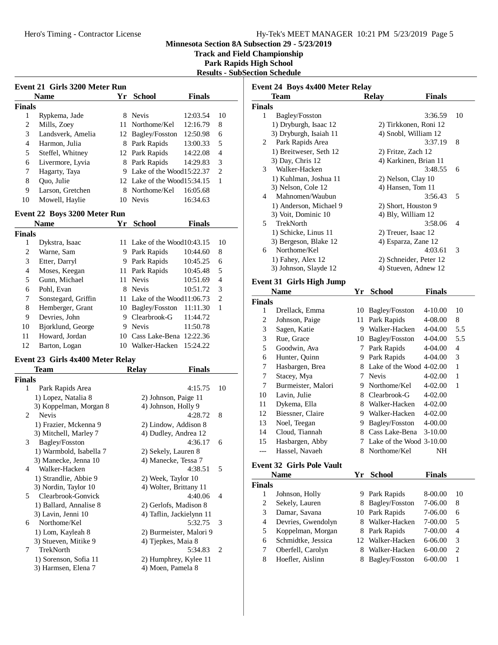**Track and Field Championship**

**Park Rapids High School Results - SubSection Schedule**

|               | <b>Event 21 Girls 3200 Meter Run</b>         |    |                                            |               |                |
|---------------|----------------------------------------------|----|--------------------------------------------|---------------|----------------|
|               | Name                                         | Yr | <b>School</b>                              | <b>Finals</b> |                |
| <b>Finals</b> |                                              |    |                                            |               |                |
| 1             | Rypkema, Jade                                |    | 8 Nevis                                    | 12:03.54      | 10             |
| 2             | Mills, Zoey                                  |    | 11 Northome/Kel                            | 12:16.79      | 8              |
| 3             | Landsverk, Amelia                            |    | 12 Bagley/Fosston                          | 12:50.98      | 6              |
| 4             | Harmon, Julia                                |    | 8 Park Rapids                              | 13:00.33      | 5              |
| 5             | Steffel, Whitney                             |    | 12 Park Rapids                             | 14:22.08      | 4              |
| 6             | Livermore, Lyvia                             |    | 8 Park Rapids                              | 14:29.83      | 3              |
| 7             | Hagarty, Taya                                |    | 9 Lake of the Wood15:22.37                 |               | $\overline{c}$ |
| 8             | Quo, Julie                                   |    | 12 Lake of the Wood15:34.15                |               | 1              |
| 9             | Larson, Gretchen                             |    | 8 Northome/Kel                             | 16:05.68      |                |
| 10            | Mowell, Haylie                               |    | 10 Nevis                                   | 16:34.63      |                |
|               | Event 22 Boys 3200 Meter Run                 |    |                                            |               |                |
|               | <b>Name</b>                                  | Yr | <b>School</b>                              | <b>Finals</b> |                |
| <b>Finals</b> |                                              |    |                                            |               |                |
| 1             | Dykstra, Isaac                               |    | 11 Lake of the Wood10:43.15                |               | 10             |
| 2             | Warne, Sam                                   |    | 9 Park Rapids                              | 10:44.60      | 8              |
| 3             | Etter, Darryl                                |    | 9 Park Rapids                              | 10:45.25      | 6              |
| 4             | Moses, Keegan                                | 11 | Park Rapids                                | 10:45.48      | 5              |
| 5             | Gunn, Michael                                |    | 11 Nevis                                   | 10:51.69      | 4              |
| 6             | Pohl, Evan                                   |    | 8 Nevis                                    | 10:51.72      | 3              |
| 7             | Sonstegard, Griffin                          |    | 11 Lake of the Wood11:06.73                |               | $\overline{c}$ |
| 8             | Hemberger, Grant                             |    | 10 Bagley/Fosston                          | 11:11.30      | 1              |
|               | Devries, John                                |    | 9 Clearbrook-G                             | 11:44.72      |                |
| 9             |                                              |    |                                            |               |                |
| 10            | Bjorklund, George                            |    | 9 Nevis                                    | 11:50.78      |                |
| 11            | Howard, Jordan                               |    | 10 Cass Lake-Bena 12:22.36                 |               |                |
| 12            | Barton, Logan                                |    | 10 Walker-Hacken 15:24.22                  |               |                |
|               | Event 23 Girls 4x400 Meter Relay             |    |                                            |               |                |
|               | Team                                         |    | <b>Relay</b>                               | <b>Finals</b> |                |
| <b>Finals</b> |                                              |    |                                            |               |                |
| 1             | Park Rapids Area                             |    |                                            | 4:15.75       | 10             |
|               | 1) Lopez, Natalia 8                          |    | 2) Johnson, Paige 11                       |               |                |
|               | 3) Koppelman, Morgan 8                       |    | 4) Johnson, Holly 9                        |               |                |
| 2             | <b>Nevis</b>                                 |    |                                            | 4:28.72       | 8              |
|               | 1) Frazier, Mckenna 9                        |    | 2) Lindow, Addison 8                       |               |                |
|               | 3) Mitchell, Marley 7                        |    | 4) Dudley, Andrea 12                       |               |                |
| 3             | Bagley/Fosston                               |    |                                            | 4:36.17       | 6              |
|               | 1) Warmbold, Isabella 7                      |    | 2) Sekely, Lauren 8                        |               |                |
|               | 3) Manecke, Jenna 10                         |    | 4) Manecke, Tessa 7                        |               |                |
| 4             | Walker-Hacken                                |    |                                            | 4:38.51       | 5              |
|               | 1) Strandlie, Abbie 9                        |    | 2) Week, Taylor 10                         |               |                |
|               | 3) Nordin, Taylor 10                         |    | 4) Wolter, Brittany 11                     |               |                |
| 5             | Clearbrook-Gonvick                           |    |                                            | 4:40.06       | 4              |
|               | 1) Ballard, Annalise 8                       |    | 2) Gerlofs, Madison 8                      |               |                |
|               | 3) Lavin, Jenni 10<br>Northome/Kel           |    | 4) Taflin, Jackielynn 11                   | 5:32.75       |                |
| 6             |                                              |    |                                            |               | 3              |
|               | 1) Lom, Kayleah 8                            |    | 2) Burmeister, Malori 9                    |               |                |
| 7             | 3) Stueven, Mitike 9<br>TrekNorth            |    | 4) Tjepkes, Maia 8                         |               |                |
|               |                                              |    |                                            | 5:34.83       | 2              |
|               | 1) Sorenson, Sofia 11<br>3) Harmsen, Elena 7 |    | 2) Humphrey, Kylee 11<br>4) Moen, Pamela 8 |               |                |
|               |                                              |    |                                            |               |                |

| Event 24 Boys 4x400 Meter Relay |                                  |    |                                                |               |                |  |  |  |
|---------------------------------|----------------------------------|----|------------------------------------------------|---------------|----------------|--|--|--|
|                                 | Team                             |    | <b>Relay</b>                                   | <b>Finals</b> |                |  |  |  |
| <b>Finals</b>                   |                                  |    |                                                |               |                |  |  |  |
| 1                               | Bagley/Fosston                   |    |                                                | 3:36.59       | 10             |  |  |  |
|                                 | 1) Dryburgh, Isaac 12            |    | 2) Tirkkonen, Roni 12                          |               |                |  |  |  |
|                                 | 3) Dryburgh, Isaiah 11           |    | 4) Snobl, William 12                           |               |                |  |  |  |
| 2                               | Park Rapids Area                 |    |                                                | 3:37.19       | 8              |  |  |  |
|                                 | 1) Breitweser, Seth 12           |    | 2) Fritze, Zach 12                             |               |                |  |  |  |
|                                 | 3) Day, Chris 12                 |    | 4) Karkinen, Brian 11                          |               |                |  |  |  |
| 3                               | Walker-Hacken                    |    |                                                | 3:48.55       | 6              |  |  |  |
|                                 | 1) Kuhlman, Joshua 11            |    | 2) Nelson, Clay 10                             |               |                |  |  |  |
|                                 | 3) Nelson, Cole 12               |    | 4) Hansen, Tom 11                              |               |                |  |  |  |
| 4                               | Mahnomen/Waubun                  |    |                                                | 3:56.43       | 5              |  |  |  |
|                                 | 1) Anderson, Michael 9           |    | 2) Short, Houston 9                            |               |                |  |  |  |
|                                 | 3) Voit, Dominic 10              |    | 4) Bly, William 12                             |               |                |  |  |  |
| 5.                              | TrekNorth                        |    |                                                | 3:58.06       | 4              |  |  |  |
|                                 | 1) Schicke, Linus 11             |    | 2) Treuer, Isaac 12                            |               |                |  |  |  |
|                                 | 3) Bergeson, Blake 12            |    | 4) Esparza, Zane 12                            |               |                |  |  |  |
| 6                               | Northome/Kel                     |    |                                                | 4:03.61       | 3              |  |  |  |
|                                 | 1) Fahey, Alex 12                |    | 2) Schneider, Peter 12<br>4) Stueven, Adnew 12 |               |                |  |  |  |
|                                 | 3) Johnson, Slayde 12            |    |                                                |               |                |  |  |  |
|                                 | <b>Event 31 Girls High Jump</b>  |    |                                                |               |                |  |  |  |
|                                 | <b>Name</b>                      |    | Yr School                                      | Finals        |                |  |  |  |
| <b>Finals</b>                   |                                  |    |                                                |               |                |  |  |  |
| 1                               | Drellack, Emma                   | 10 | Bagley/Fosston                                 | 4-10.00       | 10             |  |  |  |
| $\overline{c}$                  | Johnson, Paige                   | 11 | Park Rapids                                    | 4-08.00       | 8              |  |  |  |
| 3                               | Sagen, Katie                     |    | 9 Walker-Hacken                                | 4-04.00       | 5.5            |  |  |  |
| 3                               | Rue, Grace                       |    | 10 Bagley/Fosston                              | 4-04.00       | 5.5            |  |  |  |
| 5                               | Goodwin, Ava                     |    | 7 Park Rapids                                  | 4-04.00       | $\overline{4}$ |  |  |  |
| 6                               | Hunter, Quinn                    |    | 9 Park Rapids                                  | 4-04.00       | 3              |  |  |  |
| 7                               | Hasbargen, Brea                  |    | 8 Lake of the Wood 4-02.00                     |               | 1              |  |  |  |
| 7                               | Stacey, Mya                      |    | 7 Nevis                                        | 4-02.00       | 1              |  |  |  |
| 7                               | Burmeister, Malori               |    | 9 Northome/Kel                                 | 4-02.00       | 1              |  |  |  |
| 10                              | Lavin, Julie                     |    | 8 Clearbrook-G                                 | 4-02.00       |                |  |  |  |
| 11                              | Dykema, Ella                     |    | 8 Walker-Hacken                                | 4-02.00       |                |  |  |  |
| 12                              | Biessner, Claire                 |    | 9 Walker-Hacken                                | 4-02.00       |                |  |  |  |
| 13                              | Noel, Teegan                     |    | 9 Bagley/Fosston                               | 4-00.00       |                |  |  |  |
| 14                              | Cloud, Tiannah                   |    | 8 Cass Lake-Bena                               | $3-10.00$     |                |  |  |  |
| 15                              | Hasbargen, Abby                  | 7  | Lake of the Wood 3-10.00                       |               |                |  |  |  |
|                                 | Hassel, Navaeh                   | 8. | Northome/Kel                                   | NΗ            |                |  |  |  |
|                                 | <b>Event 32 Girls Pole Vault</b> |    |                                                |               |                |  |  |  |
|                                 | <b>Name</b>                      | Yr | <b>School</b>                                  | <b>Finals</b> |                |  |  |  |
| <b>Finals</b>                   |                                  |    |                                                |               |                |  |  |  |
| 1                               | Johnson, Holly                   | 9  | Park Rapids                                    | 8-00.00       | 10             |  |  |  |
| $\overline{c}$                  | Sekely, Lauren                   | 8  | Bagley/Fosston                                 | 7-06.00       | 8              |  |  |  |
| 3                               | Damar, Savana                    | 10 | Park Rapids                                    | 7-06.00       | 6              |  |  |  |
| $\overline{4}$                  | Devries, Gwendolyn               | 8  | Walker-Hacken                                  | 7-00.00       | 5              |  |  |  |
| 5                               | Koppelman, Morgan                | 8. | Park Rapids                                    | 7-00.00       | 4              |  |  |  |
| 6                               | Schmidtke, Jessica               | 12 | Walker-Hacken                                  | 6-06.00       | 3              |  |  |  |
| 7                               | Oberfell, Carolyn                | 8  | Walker-Hacken                                  | 6-00.00       | $\overline{c}$ |  |  |  |
| 8                               | Hoefler, Aislinn                 | 8. | Bagley/Fosston                                 | $6 - 00.00$   | $\mathbf{1}$   |  |  |  |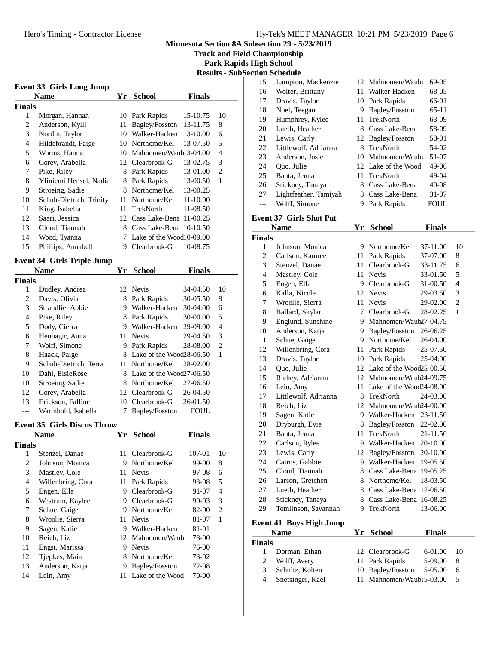**Track and Field Championship**

**Park Rapids High School**

| Results - SubSection Schedule |  |
|-------------------------------|--|
|                               |  |

|                | <b>Event 33 Girls Long Jump</b>    |    |                            |               |                |
|----------------|------------------------------------|----|----------------------------|---------------|----------------|
|                | <b>Name</b>                        |    | Yr School                  | <b>Finals</b> |                |
| <b>Finals</b>  |                                    |    |                            |               |                |
| 1              | Morgan, Hannah                     |    | 10 Park Rapids             | 15-10.75      | 10             |
| 2              | Anderson, Kylli                    | 11 | Bagley/Fosston             | 13-11.75      | 8              |
| 3              | Nordin, Taylor                     |    | 10 Walker-Hacken           | 13-10.00      | 6              |
| 4              | Hildebrandt, Paige                 |    | 10 Northome/Kel            | 13-07.50      | 5              |
| 5              | Worms, Hanna                       |    | 10 Mahnomen/Waubl 3-04.00  |               | 4              |
| 6              | Corey, Arabella                    |    | 12 Clearbrook-G            | 13-02.75      | 3              |
| 7              | Pike, Riley                        |    | 8 Park Rapids              | 13-01.00      | $\overline{2}$ |
| 8              | Yliniemi Hensel, Nadia             |    | 8 Park Rapids              | 13-00.50      | 1              |
| 9              | Stroeing, Sadie                    |    | 8 Northome/Kel             | 13-00.25      |                |
| 10             | Schuh-Dietrich, Trinity            |    | 11 Northome/Kel            | 11-10.00      |                |
| 11             | King, Isabella                     |    | 11 TrekNorth               | 11-08.50      |                |
| 12             | Saari, Jessica                     |    | 12 Cass Lake-Bena 11-00.25 |               |                |
| 13             | Cloud, Tiannah                     |    | 8 Cass Lake-Bena 10-10.50  |               |                |
| 14             | Wood, Tyanna                       |    | 7 Lake of the Wood10-09.00 |               |                |
| 15             | Phillips, Annabell                 |    | 9 Clearbrook-G             | 10-08.75      |                |
|                |                                    |    |                            |               |                |
|                | <b>Event 34 Girls Triple Jump</b>  |    |                            |               |                |
|                | Name                               |    | Yr School                  | <b>Finals</b> |                |
| <b>Finals</b>  |                                    |    |                            |               |                |
| 1              | Dudley, Andrea                     |    | 12 Nevis                   | 34-04.50      | 10             |
| 2              | Davis, Olivia                      |    | 8 Park Rapids              | 30-05.50      | 8              |
| 3              | Strandlie, Abbie                   |    | 9 Walker-Hacken            | 30-04.00      | 6              |
| 4              | Pike, Riley                        |    | 8 Park Rapids              | 30-00.00      | 5              |
| 5              | Dody, Cierra                       |    | 9 Walker-Hacken            | 29-09.00      | $\overline{4}$ |
| 6              | Hennagir, Anna                     |    | 11 Nevis                   | 29-04.50      | 3              |
| 7              | Wolff, Simone                      |    | 9 Park Rapids              | 28-08.00      | $\mathfrak{2}$ |
| 8              | Haack, Paige                       |    | 8 Lake of the Wood28-06.50 |               | 1              |
| 9              | Schuh-Dietrich, Terra              |    | 11 Northome/Kel            | 28-02.00      |                |
| 10             | Dahl, ElsieRose                    |    | 8 Lake of the Wood27-06.50 |               |                |
| 10             | Stroeing, Sadie                    |    | 8 Northome/Kel             | 27-06.50      |                |
| 12             | Corey, Arabella                    |    | 12 Clearbrook-G            | 26-04.50      |                |
| 13             | Erickson, Falline                  |    | 10 Clearbrook-G            | 26-01.50      |                |
|                | Warmbold, Isabella                 |    | 7 Bagley/Fosston           | FOUL          |                |
|                |                                    |    |                            |               |                |
|                | <b>Event 35 Girls Discus Throw</b> |    |                            |               |                |
|                | Name                               |    | Yr School                  | Finals        |                |
| <b>Finals</b>  |                                    |    |                            |               |                |
| 1              | Stenzel, Danae                     |    | 11 Clearbrook-G            | 107-01        | 10             |
| $\overline{c}$ | Johnson, Monica                    |    | 9 Northome/Kel             | 99-00         | 8              |
| 3              | Mastley, Cole                      |    | 11 Nevis                   | 97-08         | 6              |
| 4              | Willenbring, Cora                  | 11 | Park Rapids                | 93-08         | 5              |
| 5              | Engen, Ella                        | 9. | Clearbrook-G               | 91-07         | $\overline{4}$ |
| 6              | Westrum, Kaylee                    |    | 9 Clearbrook-G             | 90-03         | 3              |
| 7              | Schue, Gaige                       |    | 9 Northome/Kel             | 82-00         | $\mathfrak{2}$ |
| 8              | Wroolie, Sierra                    | 11 | <b>Nevis</b>               | 81-07         | 1              |
| 9              | Sagen, Katie                       |    | 9 Walker-Hacken            | 81-01         |                |
| 10             | Reich, Liz                         |    | 12 Mahnomen/Waubi          | 78-00         |                |
| 11             | Engst, Marissa                     |    | 9 Nevis                    | 76-00         |                |
| 12             | Tjepkes, Maia                      |    | 8 Northome/Kel             | 73-02         |                |
| 13             | Anderson, Katja                    | 9. | Bagley/Fosston             | 72-08         |                |
| 14             | Lein, Amy                          | 11 | Lake of the Wood           | 70-00         |                |
|                |                                    |    |                            |               |                |

|    | Tun ncuraan           |     |                     |           |
|----|-----------------------|-----|---------------------|-----------|
| 15 | Lampton, Mackenzie    |     | 12 Mahnomen/Waubi   | 69-05     |
| 16 | Wolter, Brittany      | 11  | Walker-Hacken       | 68-05     |
| 17 | Dravis, Taylor        |     | 10 Park Rapids      | 66-01     |
| 18 | Noel, Teegan          | 9   | Bagley/Fosston      | $65-11$   |
| 19 | Humphrey, Kylee       | 11. | TrekNorth           | 63-09     |
| 20 | Lueth, Heather        | 8   | Cass Lake-Bena      | 58-09     |
| 21 | Lewis, Carly          |     | 12 Bagley/Fosston   | 58-01     |
| 22 | Littlewolf, Adrianna  | 8   | TrekNorth           | 54-02     |
| 23 | Anderson, Josie       | 10  | Mahnomen/Waubi      | 51-07     |
| 24 | Quo, Julie            |     | 12 Lake of the Wood | 49-06     |
| 25 | Banta, Jenna          |     | 11 TrekNorth        | 49-04     |
| 26 | Stickney, Tanaya      | 8   | Cass Lake-Bena      | $40 - 08$ |
| 27 | Lightfeather, Tamiyah | 8   | Cass Lake-Bena      | 31-07     |
|    | Wolff, Simone         | 9   | Park Rapids         | FOUL      |

## **Event 37 Girls Shot Put**

|                | <b>Name</b>                    | Yr          | <b>School</b>               | <b>Finals</b> |                |
|----------------|--------------------------------|-------------|-----------------------------|---------------|----------------|
| Finals         |                                |             |                             |               |                |
| 1              | Johnson, Monica                | 9.          | Northome/Kel                | 37-11.00      | 10             |
| $\overline{2}$ | Carlson, Kamree                | 11          | Park Rapids                 | 37-07.00      | 8              |
| 3              | Stenzel, Danae                 | 11-         | Clearbrook-G                | 33-11.75      | 6              |
| $\overline{4}$ | Mastley, Cole                  | 11          | <b>Nevis</b>                | 33-01.50      | 5              |
| 5              | Engen, Ella                    | 9           | Clearbrook-G                | 31-00.50      | $\overline{4}$ |
| 6              | Kalla, Nicole                  | 12          | <b>Nevis</b>                | 29-03.50      | 3              |
| 7              | Wroolie, Sierra                | 11-         | <b>Nevis</b>                | 29-02.00      | $\overline{c}$ |
| 8              | Ballard, Skylar                | $7^{\circ}$ | Clearbrook-G                | 28-02.25      | 1              |
| 9              | Englund, Sunshine              |             | 9 Mahnomen/Waub27-04.75     |               |                |
| 10             | Anderson, Katja                |             | 9 Bagley/Fosston            | 26-06.25      |                |
| 11             | Schue, Gaige                   |             | 9 Northome/Kel              | 26-04.00      |                |
| 12             | Willenbring, Cora              | 11          | Park Rapids                 | 25-07.50      |                |
| 13             | Dravis, Taylor                 | 10          | Park Rapids                 | 25-04.00      |                |
| 14             | Quo, Julie                     |             | 12 Lake of the Wood25-00.50 |               |                |
| 15             | Richey, Adrianna               |             | 12 Mahnomen/Waub24-09.75    |               |                |
| 16             | Lein, Amy                      |             | 11 Lake of the Wood24-08.00 |               |                |
| 17             | Littlewolf, Adrianna           |             | 8 TrekNorth                 | 24-03.00      |                |
| 18             | Reich, Liz                     |             | 12 Mahnomen/Waub24-00.00    |               |                |
| 19             | Sagen, Katie                   |             | 9 Walker-Hacken 23-11.50    |               |                |
| 20             | Dryburgh, Evie                 |             | 8 Bagley/Fosston            | 22-02.00      |                |
| 21             | Banta, Jenna                   | 11          | TrekNorth                   | 21-11.50      |                |
| 22             | Carlson, Rylee                 |             | 9 Walker-Hacken             | 20-10.00      |                |
| 23             | Lewis, Carly                   |             | 12 Bagley/Fosston           | 20-10.00      |                |
| 24             | Cairns, Gabbie                 |             | 9 Walker-Hacken             | 19-05.50      |                |
| 25             | Cloud, Tiannah                 | 8.          | Cass Lake-Bena 19-05.25     |               |                |
| 26             | Larson, Gretchen               | 8           | Northome/Kel                | 18-03.50      |                |
| 27             | Lueth, Heather                 |             | 8 Cass Lake-Bena 17-06.50   |               |                |
| 28             | Stickney, Tanaya               |             | 8 Cass Lake-Bena 16-08.25   |               |                |
| 29             | Tomlinson, Savannah            | 9.          | TrekNorth                   | 13-06.00      |                |
|                | <b>Event 41 Boys High Jump</b> |             |                             |               |                |
|                | <b>Name</b>                    |             | Yr School                   | <b>Finals</b> |                |
| <b>Finals</b>  |                                |             |                             |               |                |
| 1              | Dorman, Ethan                  |             | 12 Clearbrook-G             | 6-01.00       | 10             |
| $\overline{c}$ | Wolff, Avery                   | 11          | Park Rapids                 | 5-09.00       | 8              |
| 3              | Schultz, Kolten                | 10          | Bagley/Fosston              | 5-05.00       | 6              |
| $\overline{4}$ | Snetsinger, Kael               | 11          | Mahnomen/Waubi 5-03.00      |               | 5              |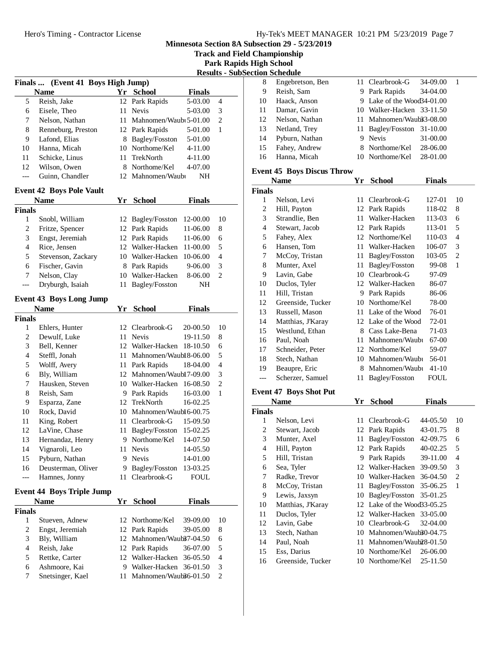**Track and Field Championship**

**Park Rapids High School**

|                  |                                   |    |                            |               |                |                             | <b>Results - SubSection Schedule</b> |
|------------------|-----------------------------------|----|----------------------------|---------------|----------------|-----------------------------|--------------------------------------|
|                  | Finals  (Event 41 Boys High Jump) |    |                            |               |                | 8                           | Engebret                             |
|                  | <b>Name</b>                       |    | Yr School                  | <b>Finals</b> |                | 9                           | Reish, Sa                            |
| 5                | Reish, Jake                       |    | 12 Park Rapids             | 5-03.00       | $\overline{4}$ | 10                          | Haack, A                             |
| 6                | Eisele, Theo                      |    | 11 Nevis                   | 5-03.00       | 3              | 11                          | Damar, O                             |
| 7                | Nelson, Nathan                    |    | 11 Mahnomen/Waubi 5-01.00  |               | $\sqrt{2}$     | 12                          | Nelson, l                            |
| $8\,$            | Renneburg, Preston                |    | 12 Park Rapids             | 5-01.00       | $\mathbf{1}$   | 13                          | Netland,                             |
| 9                | Lafond, Elias                     |    | 8 Bagley/Fosston           | 5-01.00       |                | 14                          | Pyburn, l                            |
| 10               | Hanna, Micah                      |    | 10 Northome/Kel            | 4-11.00       |                | 15                          | Fahey, A                             |
| 11               | Schicke, Linus                    | 11 | TrekNorth                  | 4-11.00       |                | 16                          | Hanna, N                             |
| 12               | Wilson, Owen                      |    | 8 Northome/Kel             | 4-07.00       |                |                             | <b>Event 45 Boys</b>                 |
| ---              | Guinn, Chandler                   |    | 12 Mahnomen/Waubi          | NH            |                |                             | <b>Name</b>                          |
|                  | <b>Event 42 Boys Pole Vault</b>   |    |                            |               |                | <b>Finals</b>               |                                      |
|                  | <b>Name</b>                       |    | Yr School                  | <b>Finals</b> |                | $\mathbf{1}$                | Nelson, l                            |
| <b>Finals</b>    |                                   |    |                            |               |                | $\overline{c}$              | Hill, Pay                            |
| $\mathbf{1}$     | Snobl, William                    |    | 12 Bagley/Fosston          | 12-00.00      | 10             | $\mathfrak{Z}$              | Strandlie                            |
| $\overline{c}$   | Fritze, Spencer                   |    | 12 Park Rapids             | 11-06.00      | 8              | $\overline{4}$              | Stewart,                             |
| 3                | Engst, Jeremiah                   |    | 12 Park Rapids             | 11-06.00      | 6              | 5                           | Fahey, A                             |
| $\overline{4}$   | Rice, Jensen                      |    | 12 Walker-Hacken           | 11-00.00      | 5              | 6                           | Hansen,                              |
| 5                | Stevenson, Zackary                |    | 10 Walker-Hacken           | 10-06.00      | $\overline{4}$ | 7                           | McCoy,                               |
| 6                | Fischer, Gavin                    |    | 8 Park Rapids              | 9-06.00       | 3              | 8                           | Munter,                              |
| 7                | Nelson, Clay                      |    | 10 Walker-Hacken           | 8-06.00       | $\overline{c}$ | 9                           | Lavin, G                             |
| ---              | Dryburgh, Isaiah                  |    | 11 Bagley/Fosston          | NH            |                | 10                          | Duclos,                              |
|                  |                                   |    |                            |               |                | 11                          | Hill, Tris                           |
|                  | <b>Event 43 Boys Long Jump</b>    |    |                            |               |                | 12                          | Greensid                             |
|                  | <b>Name</b>                       |    | Yr School                  | <b>Finals</b> |                | 13                          | Russell,                             |
| <b>Finals</b>    |                                   |    |                            |               |                | 14                          | Matthias                             |
| 1                | Ehlers, Hunter                    |    | 12 Clearbrook-G            | 20-00.50      | 10             | 15                          | Westlung                             |
| 2                | Dewulf, Luke                      |    | 11 Nevis                   | 19-11.50      | 8              | 16                          | Paul, No                             |
| 3                | Bell, Kenner                      |    | 12 Walker-Hacken           | 18-10.50      | 6              | 17                          | Schneide                             |
| $\overline{4}$   | Steffl, Jonah                     |    | 11 Mahnomen/Waubl 8-06.00  |               | 5              | 18                          | Stech, N                             |
| 5                | Wolff, Avery                      |    | 11 Park Rapids             | 18-04.00      | $\overline{4}$ | 19                          | Beaupre,                             |
| $\sqrt{6}$       | Bly, William                      |    | 12 Mahnomen/Waubl7-09.00   |               | 3              | $---$                       | Scherzer                             |
| 7                | Hausken, Steven                   |    | 10 Walker-Hacken 16-08.50  |               | $\overline{c}$ |                             |                                      |
| 8                | Reish, Sam                        |    | 9 Park Rapids              | 16-03.00      | 1              |                             | <b>Event 47 Boys</b>                 |
| 9                | Esparza, Zane                     |    | 12 TrekNorth               | 16-02.25      |                |                             | <b>Name</b>                          |
| 10               | Rock, David                       |    | 10 Mahnomen/Waubl 6-00.75  |               |                | <b>Finals</b>               |                                      |
| 11               | King, Robert                      |    | 11 Clearbrook-G            | 15-09.50      |                | 1                           | Nelson, l                            |
| 12               | LaVine, Chase                     |    | 11 Bagley/Fosston 15-02.25 |               |                | $\overline{\mathbf{c}}$     | Stewart,                             |
| 13               | Hernandaz, Henry                  |    | 9 Northome/Kel             | 14-07.50      |                | $\ensuremath{\mathfrak{Z}}$ | Munter,                              |
| 14               | Vignaroli, Leo                    | 11 | Nevis                      | 14-05.50      |                | $\overline{4}$              | Hill, Pay                            |
| 15               | Pyburn, Nathan                    | 9  | Nevis                      | 14-01.00      |                | 5                           | Hill, Tris                           |
| 16               | Deusterman, Oliver                |    | 9 Bagley/Fosston           | 13-03.25      |                | 6                           | Sea, Tyle                            |
| ---              | Hamnes, Jonny                     |    | 11 Clearbrook-G            | FOUL          |                | 7                           | Radke, T                             |
|                  | <b>Event 44 Boys Triple Jump</b>  |    |                            |               |                | 8                           | McCoy,                               |
|                  | <b>Name</b>                       | Yr | <b>School</b>              | <b>Finals</b> |                | 9                           | Lewis, Ja                            |
| <b>Finals</b>    |                                   |    |                            |               |                | 10                          | Matthias                             |
| $\mathbf{1}$     | Stueven, Adnew                    |    | 12 Northome/Kel            | 39-09.00      | 10             | 11                          | Duclos,                              |
| $\boldsymbol{2}$ | Engst, Jeremiah                   | 12 | Park Rapids                | 39-05.00      | 8              | 12                          | Lavin, G                             |
| 3                | Bly, William                      |    | 12 Mahnomen/Waub37-04.50   |               | 6              | 13                          | Stech, N                             |
| 4                | Reish, Jake                       |    | 12 Park Rapids             | 36-07.00      | 5              | 14                          | Paul, No                             |
| 5                | Rettke, Carter                    |    | 12 Walker-Hacken           | 36-05.50      | 4              | 15                          | Ess, Dari                            |
| 6                | Ashmoore, Kai                     |    | 9 Walker-Hacken            | 36-01.50      | 3              | 16                          | Greensid                             |
| 7                | Snetsinger, Kael                  | 11 | Mahnomen/Waub36-01.50      |               | 2              |                             |                                      |
|                  |                                   |    |                            |               |                |                             |                                      |
|                  |                                   |    |                            |               |                |                             |                                      |

|    | uvu senegar      |   |                            |          |  |
|----|------------------|---|----------------------------|----------|--|
| 8  | Engebretson, Ben |   | 11 Clearbrook-G            | 34-09.00 |  |
| 9  | Reish, Sam       |   | 9 Park Rapids              | 34-04.00 |  |
| 10 | Haack, Anson     |   | 9 Lake of the Wood34-01.00 |          |  |
| 11 | Damar, Gavin     |   | 10 Walker-Hacken 33-11.50  |          |  |
| 12 | Nelson, Nathan   |   | 11 Mahnomen/Waub33-08.00   |          |  |
| 13 | Netland, Trey    |   | 11 Bagley/Fosston 31-10.00 |          |  |
| 14 | Pyburn, Nathan   | 9 | <b>Nevis</b>               | 31-00.00 |  |
| 15 | Fahey, Andrew    |   | 8 Northome/Kel             | 28-06.00 |  |
| 16 | Hanna, Micah     |   | 10 Northome/Kel            | 28-01.00 |  |

#### **Event 45 Boys Discus Throw**

| <b>Name</b>             |                               | Yr  | <b>School</b>            | <b>Finals</b> |                |
|-------------------------|-------------------------------|-----|--------------------------|---------------|----------------|
| Finals                  |                               |     |                          |               |                |
| $\mathbf{1}$            | Nelson, Levi                  | 11  | Clearbrook-G             | 127-01        | 10             |
| $\overline{c}$          | Hill, Payton                  |     | 12 Park Rapids           | 118-02        | 8              |
| 3                       | Strandlie, Ben                | 11  | Walker-Hacken            | 113-03        | 6              |
| $\overline{4}$          | Stewart, Jacob                |     | 12 Park Rapids           | 113-01        | 5              |
| 5                       | Fahey, Alex                   |     | 12 Northome/Kel          | 110-03        | $\overline{4}$ |
| 6                       | Hansen, Tom                   | 11  | Walker-Hacken            | 106-07        | 3              |
| 7                       | McCoy, Tristan                | 11  | Bagley/Fosston           | 103-05        | $\overline{c}$ |
| 8                       | Munter, Axel                  | 11  | Bagley/Fosston           | 99-08         | $\mathbf{1}$   |
| 9                       | Lavin, Gabe                   | 10  | Clearbrook-G             | 97-09         |                |
| 10                      | Duclos, Tyler                 |     | 12 Walker-Hacken         | 86-07         |                |
| 11                      | Hill, Tristan                 | 9   | Park Rapids              | 86-06         |                |
| 12                      | Greenside, Tucker             | 10  | Northome/Kel             | 78-00         |                |
| 13                      | Russell, Mason                | 11. | Lake of the Wood         | 76-01         |                |
| 14                      | Matthias, J'Karay             |     | 12 Lake of the Wood      | 72-01         |                |
| 15                      | Westlund, Ethan               |     | 8 Cass Lake-Bena         | 71-03         |                |
| 16                      | Paul, Noah                    | 11  | Mahnomen/Waubi           | 67-00         |                |
| 17                      | Schneider, Peter              |     | 12 Northome/Kel          | 59-07         |                |
| 18                      | Stech, Nathan                 | 10  | Mahnomen/Waubi           | 56-01         |                |
| 19                      | Beaupre, Eric                 | 8   | Mahnomen/Waubi           | $41 - 10$     |                |
| $---$                   | Scherzer, Samuel              | 11  | Bagley/Fosston           | <b>FOUL</b>   |                |
|                         | <b>Event 47 Boys Shot Put</b> |     |                          |               |                |
|                         | <b>Name</b>                   | Yr  | <b>School</b>            | <b>Finals</b> |                |
| Finals                  |                               |     |                          |               |                |
| 1                       | Nelson, Levi                  | 11  | Clearbrook-G             | 44-05.50      | 10             |
| $\overline{\mathbf{c}}$ | Stewart, Jacob                | 12  | Park Rapids              | 43-01.75      | 8              |
| 3                       | Munter, Axel                  | 11  | Bagley/Fosston           | 42-09.75      | 6              |
| $\overline{4}$          | Hill, Payton                  | 12  | Park Rapids              | 40-02.25      | 5              |
| 5                       | Hill, Tristan                 | 9   | Park Rapids              | 39-11.00      | $\overline{4}$ |
| 6                       | Sea, Tyler                    |     | 12 Walker-Hacken         | 39-09.50      | 3              |
| 7                       | Radke, Trevor                 |     | 10 Walker-Hacken         | 36-04.50      | $\overline{c}$ |
| 8                       | McCoy, Tristan                | 11  | Bagley/Fosston           | 35-06.25      | $\mathbf{1}$   |
| 9                       | Lewis, Jaxsyn                 | 10  | Bagley/Fosston           | 35-01.25      |                |
| 10                      | Matthias, J'Karay             | 12  | Lake of the Wood33-05.25 |               |                |

|     | 10 Matthias, J'Karay | 12 Lake of the Wood $33-05.25$ |
|-----|----------------------|--------------------------------|
| -11 | Duclos, Tyler        | 12 Walker-Hacken 33-05.00      |
| 12  | Lavin, Gabe          | 10 Clearbrook-G 32-04.00       |
| 13  | Stech, Nathan        | 10 Mahnomen/Waub30-04.75       |
| 14  | Paul, Noah           | 11 Mahnomen/Waub28-01.50       |
| 15  | Ess, Darius          | 10 Northome/Kel 26-06.00       |
|     | 16 Greenside, Tucker | 10 Northome/Kel 25-11.50       |
|     |                      |                                |